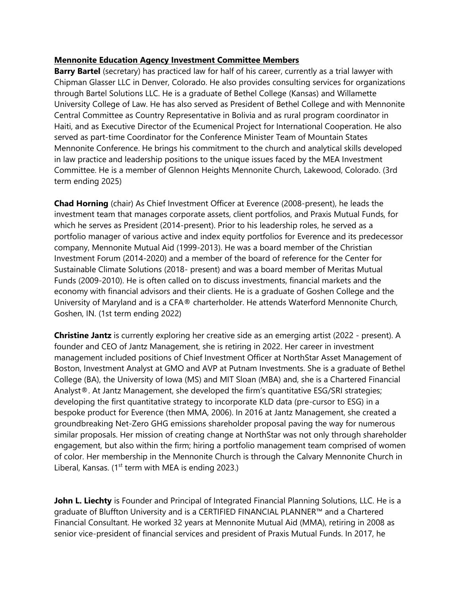## **Mennonite Education Agency Investment Committee Members**

**Barry Bartel** (secretary) has practiced law for half of his career, currently as a trial lawyer with Chipman Glasser LLC in Denver, Colorado. He also provides consulting services for organizations through Bartel Solutions LLC. He is a graduate of Bethel College (Kansas) and Willamette University College of Law. He has also served as President of Bethel College and with Mennonite Central Committee as Country Representative in Bolivia and as rural program coordinator in Haiti, and as Executive Director of the Ecumenical Project for International Cooperation. He also served as part-time Coordinator for the Conference Minister Team of Mountain States Mennonite Conference. He brings his commitment to the church and analytical skills developed in law practice and leadership positions to the unique issues faced by the MEA Investment Committee. He is a member of Glennon Heights Mennonite Church, Lakewood, Colorado. (3rd term ending 2025)

**Chad Horning** (chair) As Chief Investment Officer at Everence (2008-present), he leads the investment team that manages corporate assets, client portfolios, and Praxis Mutual Funds, for which he serves as President (2014-present). Prior to his leadership roles, he served as a portfolio manager of various active and index equity portfolios for Everence and its predecessor company, Mennonite Mutual Aid (1999-2013). He was a board member of the Christian Investment Forum (2014-2020) and a member of the board of reference for the Center for Sustainable Climate Solutions (2018- present) and was a board member of Meritas Mutual Funds (2009-2010). He is often called on to discuss investments, financial markets and the economy with financial advisors and their clients. He is a graduate of Goshen College and the University of Maryland and is a CFA® charterholder. He attends Waterford Mennonite Church, Goshen, IN. (1st term ending 2022)

**Christine Jantz** is currently exploring her creative side as an emerging artist (2022 - present). A founder and CEO of Jantz Management, she is retiring in 2022. Her career in investment management included positions of Chief Investment Officer at NorthStar Asset Management of Boston, Investment Analyst at GMO and AVP at Putnam Investments. She is a graduate of Bethel College (BA), the University of Iowa (MS) and MIT Sloan (MBA) and, she is a Chartered Financial Analyst®. At Jantz Management, she developed the firm's quantitative ESG/SRI strategies; developing the first quantitative strategy to incorporate KLD data (pre-cursor to ESG) in a bespoke product for Everence (then MMA, 2006). In 2016 at Jantz Management, she created a groundbreaking Net-Zero GHG emissions shareholder proposal paving the way for numerous similar proposals. Her mission of creating change at NorthStar was not only through shareholder engagement, but also within the firm; hiring a portfolio management team comprised of women of color. Her membership in the Mennonite Church is through the Calvary Mennonite Church in Liberal, Kansas. ( $1<sup>st</sup>$  term with MEA is ending 2023.)

John L. Liechty is Founder and Principal of Integrated Financial Planning Solutions, LLC. He is a graduate of Bluffton University and is a CERTIFIED FINANCIAL PLANNER™ and a Chartered Financial Consultant. He worked 32 years at Mennonite Mutual Aid (MMA), retiring in 2008 as senior vice-president of financial services and president of Praxis Mutual Funds. In 2017, he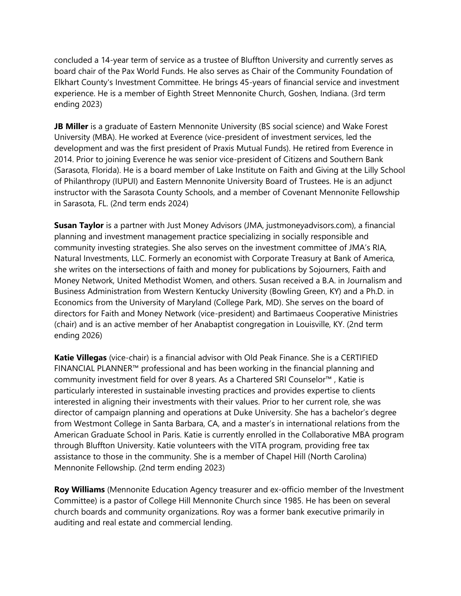concluded a 14-year term of service as a trustee of Bluffton University and currently serves as board chair of the Pax World Funds. He also serves as Chair of the Community Foundation of Elkhart County's Investment Committee. He brings 45-years of financial service and investment experience. He is a member of Eighth Street Mennonite Church, Goshen, Indiana. (3rd term ending 2023)

**JB Miller** is a graduate of Eastern Mennonite University (BS social science) and Wake Forest University (MBA). He worked at Everence (vice-president of investment services, led the development and was the first president of Praxis Mutual Funds). He retired from Everence in 2014. Prior to joining Everence he was senior vice-president of Citizens and Southern Bank (Sarasota, Florida). He is a board member of Lake Institute on Faith and Giving at the Lilly School of Philanthropy (IUPUI) and Eastern Mennonite University Board of Trustees. He is an adjunct instructor with the Sarasota County Schools, and a member of Covenant Mennonite Fellowship in Sarasota, FL. (2nd term ends 2024)

**Susan Taylor** is a partner with Just Money Advisors (JMA, justmoneyadvisors.com), a financial planning and investment management practice specializing in socially responsible and community investing strategies. She also serves on the investment committee of JMA's RIA, Natural Investments, LLC. Formerly an economist with Corporate Treasury at Bank of America, she writes on the intersections of faith and money for publications by Sojourners, Faith and Money Network, United Methodist Women, and others. Susan received a B.A. in Journalism and Business Administration from Western Kentucky University (Bowling Green, KY) and a Ph.D. in Economics from the University of Maryland (College Park, MD). She serves on the board of directors for Faith and Money Network (vice-president) and Bartimaeus Cooperative Ministries (chair) and is an active member of her Anabaptist congregation in Louisville, KY. (2nd term ending 2026)

**Katie Villegas** (vice-chair) is a financial advisor with Old Peak Finance. She is a CERTIFIED FINANCIAL PLANNER™ professional and has been working in the financial planning and community investment field for over 8 years. As a Chartered SRI Counselor™ , Katie is particularly interested in sustainable investing practices and provides expertise to clients interested in aligning their investments with their values. Prior to her current role, she was director of campaign planning and operations at Duke University. She has a bachelor's degree from Westmont College in Santa Barbara, CA, and a master's in international relations from the American Graduate School in Paris. Katie is currently enrolled in the Collaborative MBA program through Bluffton University. Katie volunteers with the VITA program, providing free tax assistance to those in the community. She is a member of Chapel Hill (North Carolina) Mennonite Fellowship. (2nd term ending 2023)

**Roy Williams** (Mennonite Education Agency treasurer and ex-officio member of the Investment Committee) is a pastor of College Hill Mennonite Church since 1985. He has been on several church boards and community organizations. Roy was a former bank executive primarily in auditing and real estate and commercial lending.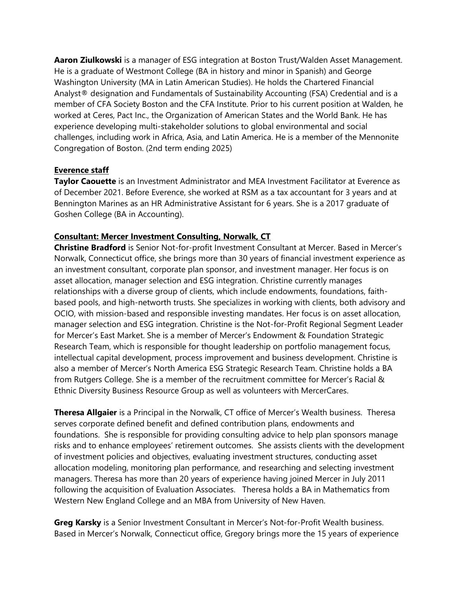**Aaron Ziulkowski** is a manager of ESG integration at Boston Trust/Walden Asset Management. He is a graduate of Westmont College (BA in history and minor in Spanish) and George Washington University (MA in Latin American Studies). He holds the Chartered Financial Analyst® designation and Fundamentals of Sustainability Accounting (FSA) Credential and is a member of CFA Society Boston and the CFA Institute. Prior to his current position at Walden, he worked at Ceres, Pact Inc., the Organization of American States and the World Bank. He has experience developing multi-stakeholder solutions to global environmental and social challenges, including work in Africa, Asia, and Latin America. He is a member of the Mennonite Congregation of Boston. (2nd term ending 2025)

## **Everence staff**

**Taylor Caouette** is an Investment Administrator and MEA Investment Facilitator at Everence as of December 2021. Before Everence, she worked at RSM as a tax accountant for 3 years and at Bennington Marines as an HR Administrative Assistant for 6 years. She is a 2017 graduate of Goshen College (BA in Accounting).

## **Consultant: Mercer Investment Consulting, Norwalk, CT**

**Christine Bradford** is Senior Not-for-profit Investment Consultant at Mercer. Based in Mercer's Norwalk, Connecticut office, she brings more than 30 years of financial investment experience as an investment consultant, corporate plan sponsor, and investment manager. Her focus is on asset allocation, manager selection and ESG integration. Christine currently manages relationships with a diverse group of clients, which include endowments, foundations, faithbased pools, and high-networth trusts. She specializes in working with clients, both advisory and OCIO, with mission-based and responsible investing mandates. Her focus is on asset allocation, manager selection and ESG integration. Christine is the Not-for-Profit Regional Segment Leader for Mercer's East Market. She is a member of Mercer's Endowment & Foundation Strategic Research Team, which is responsible for thought leadership on portfolio management focus, intellectual capital development, process improvement and business development. Christine is also a member of Mercer's North America ESG Strategic Research Team. Christine holds a BA from Rutgers College. She is a member of the recruitment committee for Mercer's Racial & Ethnic Diversity Business Resource Group as well as volunteers with MercerCares.

**Theresa Allgaier** is a Principal in the Norwalk, CT office of Mercer's Wealth business. Theresa serves corporate defined benefit and defined contribution plans, endowments and foundations. She is responsible for providing consulting advice to help plan sponsors manage risks and to enhance employees' retirement outcomes. She assists clients with the development of investment policies and objectives, evaluating investment structures, conducting asset allocation modeling, monitoring plan performance, and researching and selecting investment managers. Theresa has more than 20 years of experience having joined Mercer in July 2011 following the acquisition of Evaluation Associates. Theresa holds a BA in Mathematics from Western New England College and an MBA from University of New Haven.

**Greg Karsky** is a Senior Investment Consultant in Mercer's Not-for-Profit Wealth business. Based in Mercer's Norwalk, Connecticut office, Gregory brings more the 15 years of experience